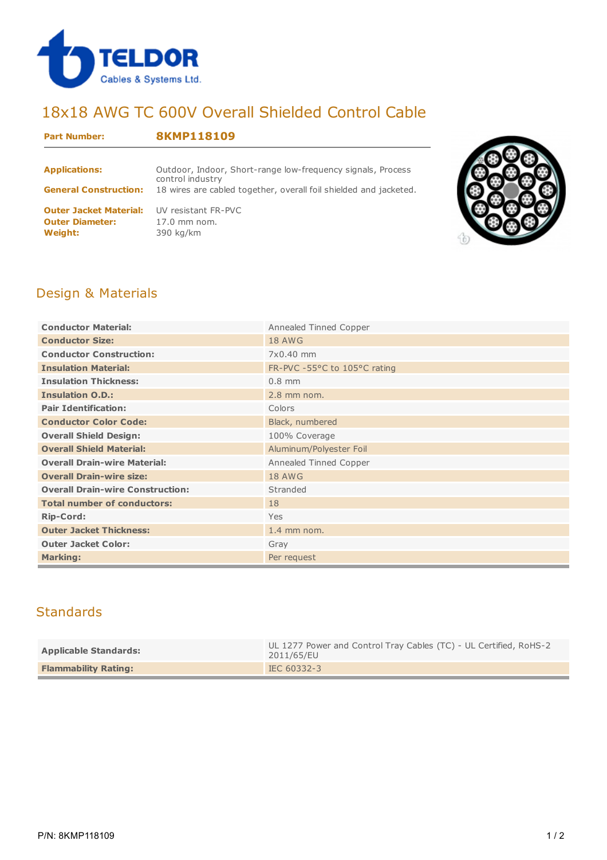

# 18x18 AWG TC 600V Overall Shielded Control Cable

#### **Part Number: 8KMP118109**

| <b>Applications:</b>                                                      | Outdoor, Indoor, Short-range low-frequency signals, Process<br>control industry |
|---------------------------------------------------------------------------|---------------------------------------------------------------------------------|
| <b>General Construction:</b>                                              | 18 wires are cabled together, overall foil shielded and jacketed.               |
| <b>Outer Jacket Material:</b><br><b>Outer Diameter:</b><br><b>Weight:</b> | UV resistant FR-PVC<br>$17.0$ mm nom.<br>390 kg/km                              |



### Design & Materials

| <b>Conductor Material:</b>              | Annealed Tinned Copper      |  |  |  |  |
|-----------------------------------------|-----------------------------|--|--|--|--|
| <b>Conductor Size:</b>                  | <b>18 AWG</b>               |  |  |  |  |
| <b>Conductor Construction:</b>          | 7x0.40 mm                   |  |  |  |  |
| <b>Insulation Material:</b>             | FR-PVC-55°C to 105°C rating |  |  |  |  |
| <b>Insulation Thickness:</b>            | $0.8$ mm                    |  |  |  |  |
| <b>Insulation O.D.:</b>                 | $2.8$ mm nom.               |  |  |  |  |
| <b>Pair Identification:</b>             | Colors                      |  |  |  |  |
| <b>Conductor Color Code:</b>            | Black, numbered             |  |  |  |  |
| <b>Overall Shield Design:</b>           | 100% Coverage               |  |  |  |  |
| <b>Overall Shield Material:</b>         | Aluminum/Polyester Foil     |  |  |  |  |
| <b>Overall Drain-wire Material:</b>     | Annealed Tinned Copper      |  |  |  |  |
| <b>Overall Drain-wire size:</b>         | <b>18 AWG</b>               |  |  |  |  |
| <b>Overall Drain-wire Construction:</b> | Stranded                    |  |  |  |  |
| <b>Total number of conductors:</b>      | 18                          |  |  |  |  |
| <b>Rip-Cord:</b>                        | Yes                         |  |  |  |  |
| <b>Outer Jacket Thickness:</b>          | $1.4$ mm nom.               |  |  |  |  |
| <b>Outer Jacket Color:</b>              | Gray                        |  |  |  |  |
| <b>Marking:</b>                         | Per request                 |  |  |  |  |

## **Standards**

| <b>Applicable Standards:</b> | UL 1277 Power and Control Tray Cables (TC) - UL Certified, RoHS-2<br>2011/65/EU |  |  |  |  |
|------------------------------|---------------------------------------------------------------------------------|--|--|--|--|
| <b>Flammability Rating:</b>  | IEC 60332-3                                                                     |  |  |  |  |